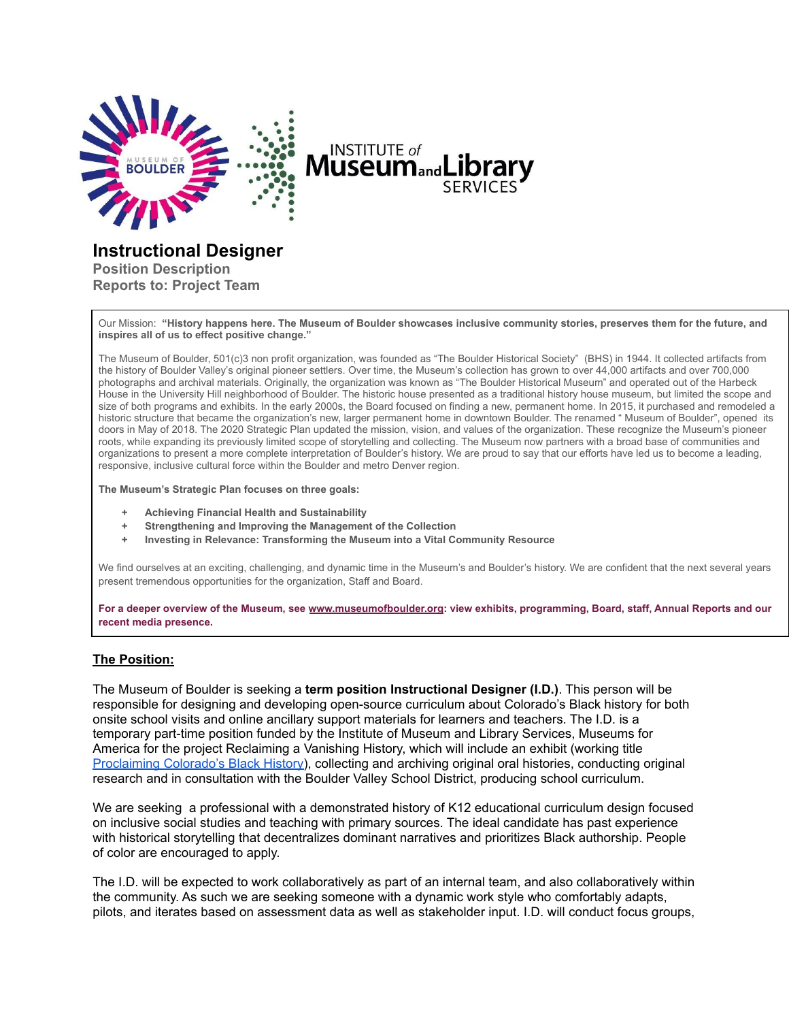

# **INSTITUTE** of **Museum**<sub>and</sub>Li

# **Instructional Designer**

**Position Description Reports to: Project Team**

Our Mission: "History happens here. The Museum of Boulder showcases inclusive community stories, preserves them for the future, and **inspires all of us to effect positive change."**

The Museum of Boulder, 501(c)3 non profit organization, was founded as "The Boulder Historical Society" (BHS) in 1944. It collected artifacts from the history of Boulder Valley's original pioneer settlers. Over time, the Museum's collection has grown to over 44,000 artifacts and over 700,000 photographs and archival materials. Originally, the organization was known as "The Boulder Historical Museum" and operated out of the Harbeck House in the University Hill neighborhood of Boulder. The historic house presented as a traditional history house museum, but limited the scope and size of both programs and exhibits. In the early 2000s, the Board focused on finding a new, permanent home. In 2015, it purchased and remodeled a historic structure that became the organization's new, larger permanent home in downtown Boulder. The renamed " Museum of Boulder", opened its doors in May of 2018. The 2020 Strategic Plan updated the mission, vision, and values of the organization. These recognize the Museum's pioneer roots, while expanding its previously limited scope of storytelling and collecting. The Museum now partners with a broad base of communities and organizations to present a more complete interpretation of Boulder's history. We are proud to say that our efforts have led us to become a leading, responsive, inclusive cultural force within the Boulder and metro Denver region.

**The Museum's Strategic Plan focuses on three goals:**

- **+ Achieving Financial Health and Sustainability**
- **+ Strengthening and Improving the Management of the Collection**
- **+ Investing in Relevance: Transforming the Museum into a Vital Community Resource**

We find ourselves at an exciting, challenging, and dynamic time in the Museum's and Boulder's history. We are confident that the next several years present tremendous opportunities for the organization, Staff and Board.

For a deeper overview of the Museum, see [www.museumofboulder.org](http://www.museumofboulder.org): view exhibits, programming, Board, staff, Annual Reports and our **recent media presence.**

#### **The Position:**

The Museum of Boulder is seeking a **term position Instructional Designer (I.D.)**. This person will be responsible for designing and developing open-source curriculum about Colorado's Black history for both onsite school visits and online ancillary support materials for learners and teachers. The I.D. is a temporary part-time position funded by the Institute of Museum and Library Services, Museums for America for the project Reclaiming a Vanishing History, which will include an exhibit (working title [Proclaiming](https://museumofboulder.org/exhibit/proclaiming-colorados-black-history/) Colorado's Black History), collecting and archiving original oral histories, conducting original research and in consultation with the Boulder Valley School District, producing school curriculum.

We are seeking a professional with a demonstrated history of K12 educational curriculum design focused on inclusive social studies and teaching with primary sources. The ideal candidate has past experience with historical storytelling that decentralizes dominant narratives and prioritizes Black authorship. People of color are encouraged to apply.

The I.D. will be expected to work collaboratively as part of an internal team, and also collaboratively within the community. As such we are seeking someone with a dynamic work style who comfortably adapts, pilots, and iterates based on assessment data as well as stakeholder input. I.D. will conduct focus groups,